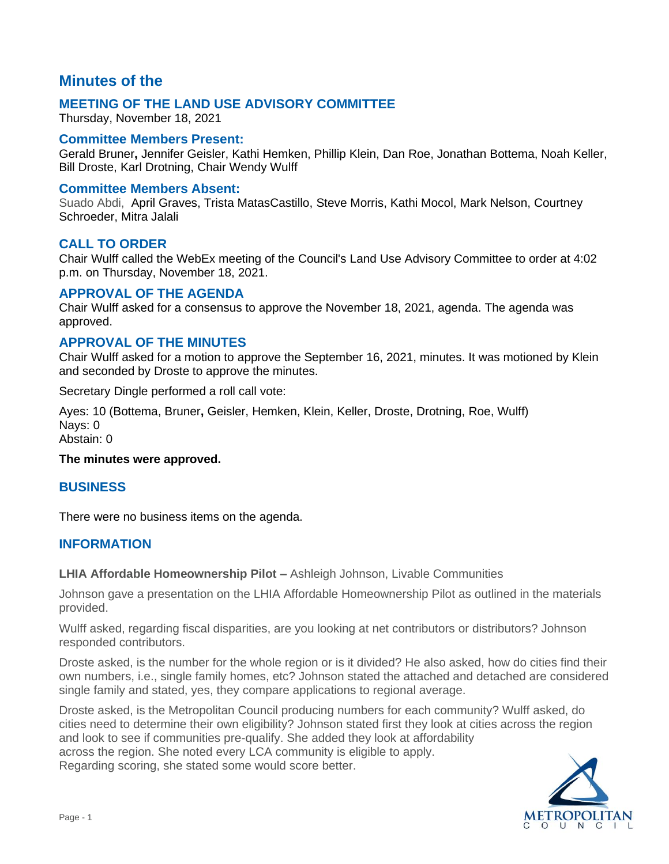# **Minutes of the**

## **MEETING OF THE LAND USE ADVISORY COMMITTEE**

Thursday, November 18, 2021

### **Committee Members Present:**

Gerald Bruner**,** Jennifer Geisler, Kathi Hemken, Phillip Klein, Dan Roe, Jonathan Bottema, Noah Keller, Bill Droste, Karl Drotning, Chair Wendy Wulff

#### **Committee Members Absent:**

Suado Abdi, April Graves, Trista MatasCastillo, Steve Morris, Kathi Mocol, Mark Nelson, Courtney Schroeder, Mitra Jalali

### **CALL TO ORDER**

Chair Wulff called the WebEx meeting of the Council's Land Use Advisory Committee to order at 4:02 p.m. on Thursday, November 18, 2021.

### **APPROVAL OF THE AGENDA**

Chair Wulff asked for a consensus to approve the November 18, 2021, agenda. The agenda was approved.

### **APPROVAL OF THE MINUTES**

Chair Wulff asked for a motion to approve the September 16, 2021, minutes. It was motioned by Klein and seconded by Droste to approve the minutes.

Secretary Dingle performed a roll call vote:

Ayes: 10 (Bottema, Bruner**,** Geisler, Hemken, Klein, Keller, Droste, Drotning, Roe, Wulff) Nays: 0

Abstain: 0

#### **The minutes were approved.**

#### **BUSINESS**

There were no business items on the agenda.

#### **INFORMATION**

**LHIA Affordable Homeownership Pilot –** Ashleigh Johnson, Livable Communities

Johnson gave a presentation on the LHIA Affordable Homeownership Pilot as outlined in the materials provided.

Wulff asked, regarding fiscal disparities, are you looking at net contributors or distributors? Johnson responded contributors.

Droste asked, is the number for the whole region or is it divided? He also asked, how do cities find their own numbers, i.e., single family homes, etc? Johnson stated the attached and detached are considered single family and stated, yes, they compare applications to regional average.

Droste asked, is the Metropolitan Council producing numbers for each community? Wulff asked, do cities need to determine their own eligibility? Johnson stated first they look at cities across the region and look to see if communities pre-qualify. She added they look at affordability across the region. She noted every LCA community is eligible to apply. Regarding scoring, she stated some would score better.

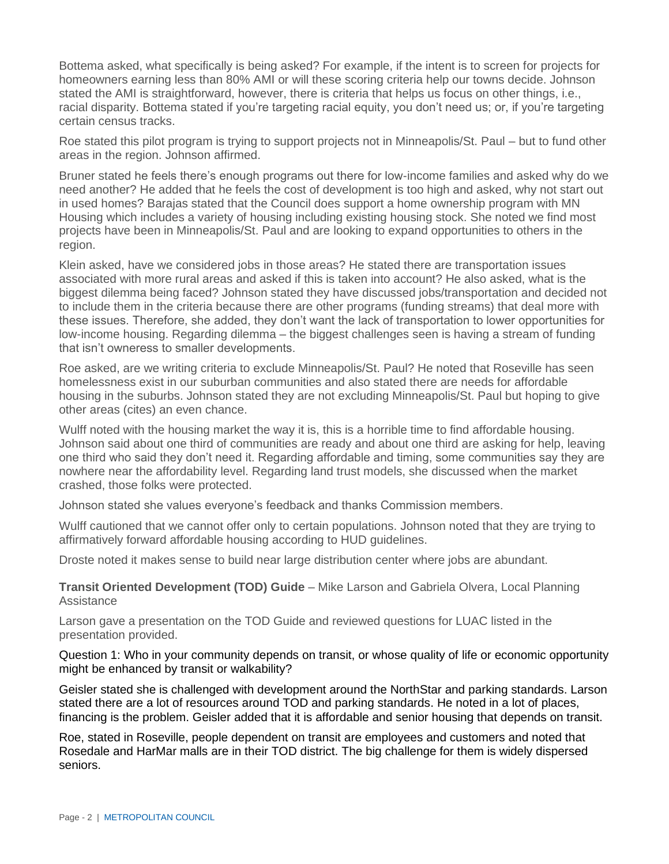Bottema asked, what specifically is being asked? For example, if the intent is to screen for projects for homeowners earning less than 80% AMI or will these scoring criteria help our towns decide. Johnson stated the AMI is straightforward, however, there is criteria that helps us focus on other things, i.e., racial disparity. Bottema stated if you're targeting racial equity, you don't need us; or, if you're targeting certain census tracks.

Roe stated this pilot program is trying to support projects not in Minneapolis/St. Paul – but to fund other areas in the region. Johnson affirmed.

Bruner stated he feels there's enough programs out there for low-income families and asked why do we need another? He added that he feels the cost of development is too high and asked, why not start out in used homes? Barajas stated that the Council does support a home ownership program with MN Housing which includes a variety of housing including existing housing stock. She noted we find most projects have been in Minneapolis/St. Paul and are looking to expand opportunities to others in the region.

Klein asked, have we considered jobs in those areas? He stated there are transportation issues associated with more rural areas and asked if this is taken into account? He also asked, what is the biggest dilemma being faced? Johnson stated they have discussed jobs/transportation and decided not to include them in the criteria because there are other programs (funding streams) that deal more with these issues. Therefore, she added, they don't want the lack of transportation to lower opportunities for low-income housing. Regarding dilemma – the biggest challenges seen is having a stream of funding that isn't owneress to smaller developments.

Roe asked, are we writing criteria to exclude Minneapolis/St. Paul? He noted that Roseville has seen homelessness exist in our suburban communities and also stated there are needs for affordable housing in the suburbs. Johnson stated they are not excluding Minneapolis/St. Paul but hoping to give other areas (cites) an even chance.

Wulff noted with the housing market the way it is, this is a horrible time to find affordable housing. Johnson said about one third of communities are ready and about one third are asking for help, leaving one third who said they don't need it. Regarding affordable and timing, some communities say they are nowhere near the affordability level. Regarding land trust models, she discussed when the market crashed, those folks were protected.

Johnson stated she values everyone's feedback and thanks Commission members.

Wulff cautioned that we cannot offer only to certain populations. Johnson noted that they are trying to affirmatively forward affordable housing according to HUD guidelines.

Droste noted it makes sense to build near large distribution center where jobs are abundant.

**Transit Oriented Development (TOD) Guide** – Mike Larson and Gabriela Olvera, Local Planning **Assistance** 

Larson gave a presentation on the TOD Guide and reviewed questions for LUAC listed in the presentation provided.

Question 1: Who in your community depends on transit, or whose quality of life or economic opportunity might be enhanced by transit or walkability?

Geisler stated she is challenged with development around the NorthStar and parking standards. Larson stated there are a lot of resources around TOD and parking standards. He noted in a lot of places, financing is the problem. Geisler added that it is affordable and senior housing that depends on transit.

Roe, stated in Roseville, people dependent on transit are employees and customers and noted that Rosedale and HarMar malls are in their TOD district. The big challenge for them is widely dispersed seniors.